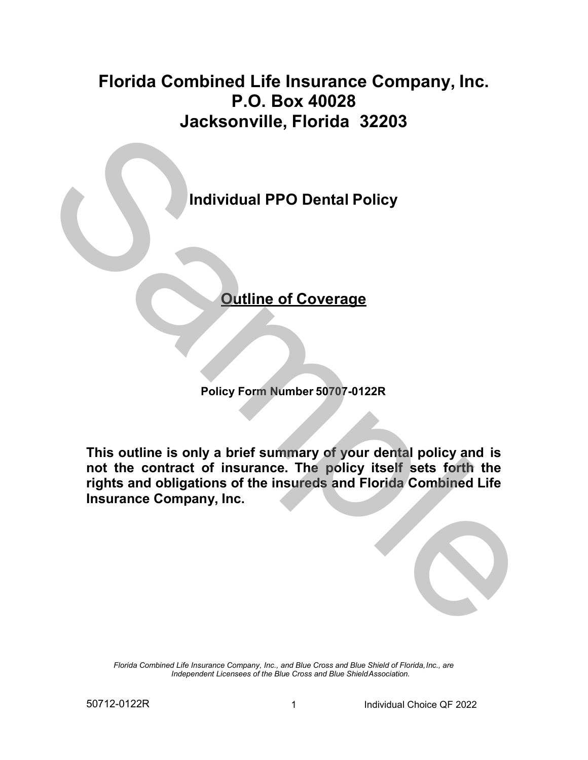# **Jacksonville, Florida 32203 Florida Combined Life Insurance Company, Inc. P.O. Box 40028**



**Policy Form Number 50707-0122R** 

 **not the contract of insurance. The policy itself sets forth the This outline is only a brief summary of your dental policy and is rights and obligations of the insureds and Florida Combined Life Insurance Company, Inc.** 

*Florida Combined Life Insurance Company, Inc., and Blue Cross and Blue Shield of Florida,Inc., are Independent Licensees of the Blue Cross and Blue ShieldAssociation.*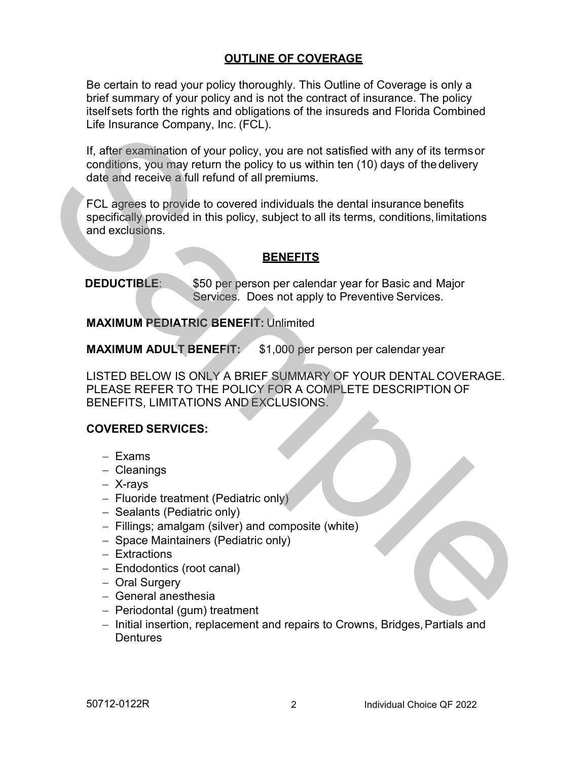## **OUTLINE OF COVERAGE**

 brief summary of your policy and is not the contract of insurance. The policy Life Insurance Company, Inc. (FCL). Be certain to read your policy thoroughly. This Outline of Coverage is only a itself sets forth the rights and obligations of the insureds and Florida Combined

 date and receive a full refund of all premiums. If, after examination of your policy, you are not satisfied with any of its termsor conditions, you may return the policy to us within ten (10) days of the delivery

 specifically provided in this policy, subject to all its terms, conditions,limitations and exclusions. FCL agrees to provide to covered individuals the dental insurance benefits

## **BENEFITS**

**DEDUCTIBLE:**  Services. Does not apply to Preventive Services. \$50 per person per calendar year for Basic and Major

**MAXIMUM PEDIATRIC BENEFIT:** Unlimited

**MAXIMUM ADULT BENEFIT:** \$1,000 per person per calendar year

 PLEASE REFER TO THE POLICY FOR A COMPLETE DESCRIPTION OF LISTED BELOW IS ONLY A BRIEF SUMMARY OF YOUR DENTAL COVERAGE. BENEFITS, LIMITATIONS AND EXCLUSIONS. Lie Insurance Complany, inc. (FCL)<br>
11, after examination of your repole (i.e., you are not satisfied with any of its terms or<br>
conditions, you may return the policy to us within ten (10) days of the delivery<br>
date and nec

#### **COVERED SERVICES:**

- − Exams
- − Cleanings
- − X-rays
- − Fluoride treatment (Pediatric only)
- − Sealants (Pediatric only)
- − Fillings; amalgam (silver) and composite (white)
- − Space Maintainers (Pediatric only)
- − Extractions
- − Endodontics (root canal)
- − Oral Surgery
- − General anesthesia
- − Periodontal (gum) treatment
- − Initial insertion, replacement and repairs to Crowns, Bridges,Partials and **Dentures**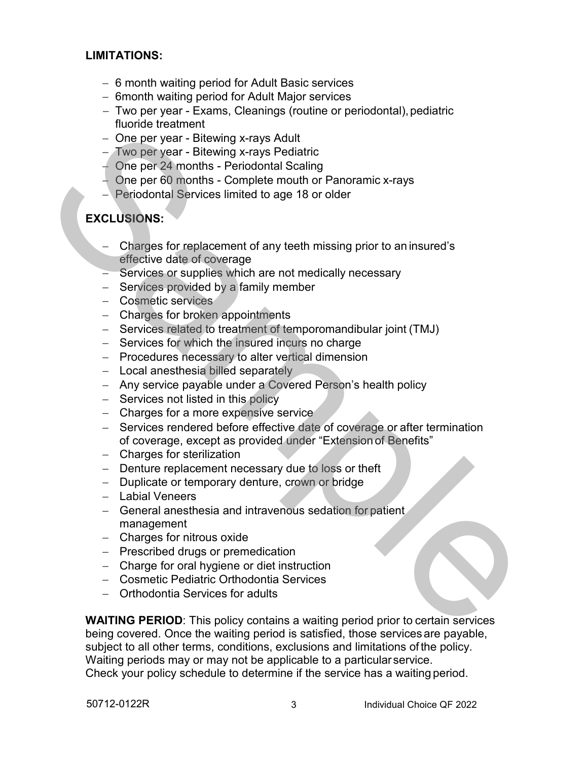#### **LIMITATIONS:**

- − 6 month waiting period for Adult Basic services
- − 6month waiting period for Adult Major services
- fluoride treatment − Two per year - Exams, Cleanings (routine or periodontal),pediatric
- − One per year Bitewing x-rays Adult
- − Two per year Bitewing x-rays Pediatric
- − One per 24 months Periodontal Scaling
- − One per 60 months Complete mouth or Panoramic x-rays
- − Periodontal Services limited to age 18 or older

## **EXCLUSIONS:**

- effective date of coverage − Charges for replacement of any teeth missing prior to an insured's
- − Services or supplies which are not medically necessary
- − Services provided by a family member
- − Cosmetic services
- − Charges for broken appointments
- − Services related to treatment of temporomandibular joint (TMJ)
- − Services for which the insured incurs no charge
- − Procedures necessary to alter vertical dimension
- − Local anesthesia billed separately
- − Any service payable under a Covered Person's health policy
- − Services not listed in this policy
- − Charges for a more expensive service
- − Services rendered before effective date of coverage or after termination of coverage, except as provided under "Extension of Benefits" noting the reality of the product of the product of the particle of the particle of the particle of the particle of the particle of the particle of the particle of the particle of the particle of the particle of the partic
	- − Charges for sterilization
	- − Denture replacement necessary due to loss or theft
	- − Duplicate or temporary denture, crown or bridge
	- − Labial Veneers
	- − General anesthesia and intravenous sedation for patient management
	- − Charges for nitrous oxide
	- − Prescribed drugs or premedication
	- − Charge for oral hygiene or diet instruction
	- − Cosmetic Pediatric Orthodontia Services
	- − Orthodontia Services for adults

 subject to all other terms, conditions, exclusions and limitations of the policy. Check your policy schedule to determine if the service has a waiting period. **WAITING PERIOD**: This policy contains a waiting period prior to certain services being covered. Once the waiting period is satisfied, those services are payable, Waiting periods may or may not be applicable to a particular service.